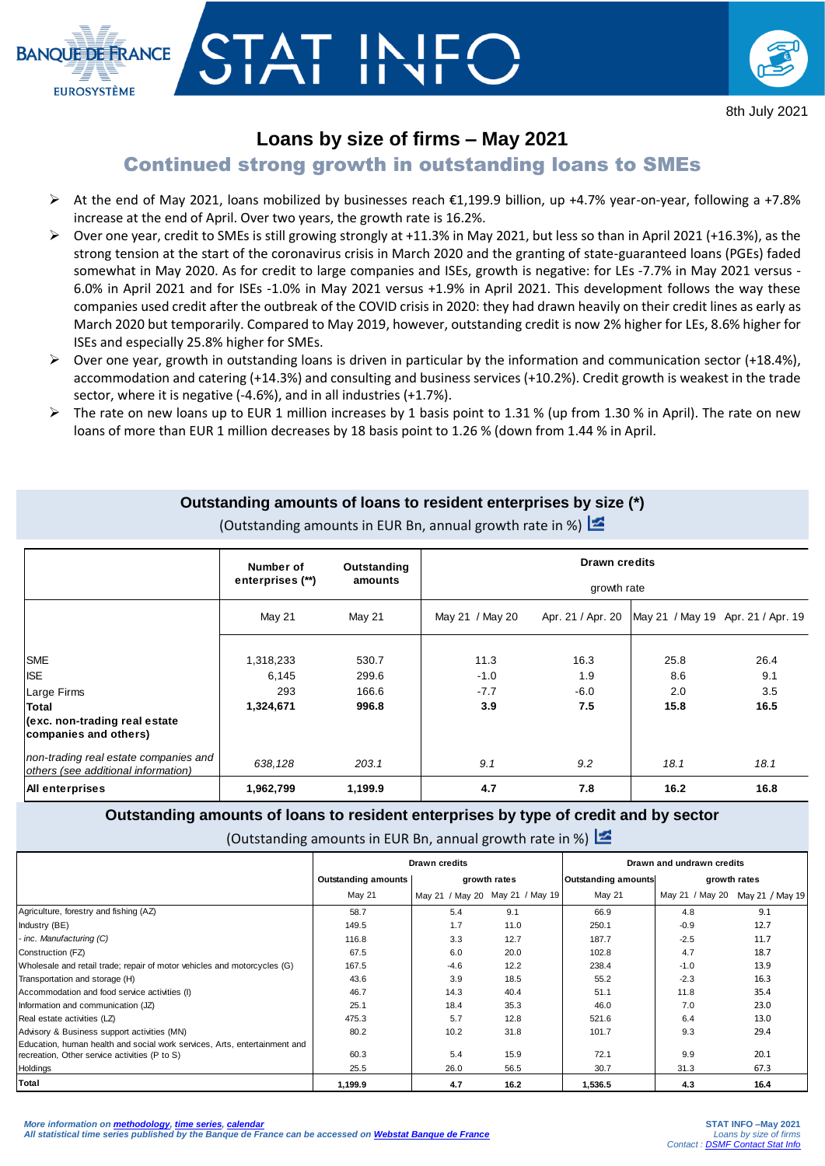

# TAT IN



## **Loans by size of firms – May 2021**

## Continued strong growth in outstanding loans to SMEs

- At the end of May 2021, loans mobilized by businesses reach  $\epsilon$ 1,199.9 billion, up +4.7% year-on-year, following a +7.8% increase at the end of April. Over two years, the growth rate is 16.2%.
- $\triangleright$  Over one year, credit to SMEs is still growing strongly at +11.3% in May 2021, but less so than in April 2021 (+16.3%), as the strong tension at the start of the coronavirus crisis in March 2020 and the granting of state-guaranteed loans (PGEs) faded somewhat in May 2020. As for credit to large companies and ISEs, growth is negative: for LEs -7.7% in May 2021 versus - 6.0% in April 2021 and for ISEs -1.0% in May 2021 versus +1.9% in April 2021. This development follows the way these companies used credit after the outbreak of the COVID crisis in 2020: they had drawn heavily on their credit lines as early as March 2020 but temporarily. Compared to May 2019, however, outstanding credit is now 2% higher for LEs, 8.6% higher for ISEs and especially 25.8% higher for SMEs.
- $\triangleright$  Over one year, growth in outstanding loans is driven in particular by the information and communication sector (+18.4%), accommodation and catering (+14.3%) and consulting and business services (+10.2%). Credit growth is weakest in the trade sector, where it is negative (-4.6%), and in all industries (+1.7%).
- $\triangleright$  The rate on new loans up to EUR 1 million increases by 1 basis point to 1.31 % (up from 1.30 % in April). The rate on new loans of more than EUR 1 million decreases by 18 basis point to 1.26 % (down from 1.44 % in April.

### **Outstanding amounts of loans to resident enterprises by size (\*)**

|                                                                                                 | Number of        | Outstanding | <b>Drawn credits</b> |                   |                                   |      |  |  |  |
|-------------------------------------------------------------------------------------------------|------------------|-------------|----------------------|-------------------|-----------------------------------|------|--|--|--|
|                                                                                                 | enterprises (**) | amounts     | growth rate          |                   |                                   |      |  |  |  |
|                                                                                                 | May 21           | May 21      | May 21 / May 20      | Apr. 21 / Apr. 20 | May 21 / May 19 Apr. 21 / Apr. 19 |      |  |  |  |
| <b>SME</b>                                                                                      | 1,318,233        | 530.7       | 11.3                 | 16.3              | 25.8                              | 26.4 |  |  |  |
| <b>ISE</b>                                                                                      | 6,145            | 299.6       | $-1.0$               | 1.9               | 8.6                               | 9.1  |  |  |  |
| Large Firms                                                                                     | 293              | 166.6       | $-7.7$               | $-6.0$            | 2.0                               | 3.5  |  |  |  |
| <b>Total</b>                                                                                    | 1,324,671        | 996.8       | 3.9                  | 7.5               | 15.8                              | 16.5 |  |  |  |
| (exc. non-trading real estate<br>companies and others)<br>non-trading real estate companies and |                  |             |                      |                   |                                   |      |  |  |  |
| others (see additional information)                                                             | 638,128          | 203.1       | 9.1                  | 9.2               | 18.1                              | 18.1 |  |  |  |
| All enterprises                                                                                 | 1,962,799        | 1,199.9     | 4.7                  | 7.8               | 16.2                              | 16.8 |  |  |  |

(Outstanding amounts in EUR Bn, annual growth rate in %)  $\mathbb{Z}$ 

### **Outstanding amounts of loans to resident enterprises by type of credit and by sector**

(Outstanding amounts in EUR Bn, annual growth rate in %)

|                                                                           | <b>Drawn credits</b>       |              |                                 | Drawn and undrawn credits  |                 |                 |  |
|---------------------------------------------------------------------------|----------------------------|--------------|---------------------------------|----------------------------|-----------------|-----------------|--|
|                                                                           | <b>Outstanding amounts</b> | growth rates |                                 | <b>Outstanding amounts</b> | growth rates    |                 |  |
|                                                                           | <b>May 21</b>              |              | May 21 / May 20 May 21 / May 19 | May 21                     | May 21 / May 20 | May 21 / May 19 |  |
| Agriculture, forestry and fishing (AZ)                                    | 58.7                       | 5.4          | 9.1                             | 66.9                       | 4.8             | 9.1             |  |
| Industry (BE)                                                             | 149.5                      | 1.7          | 11.0                            | 250.1                      | $-0.9$          | 12.7            |  |
| - inc. Manufacturing (C)                                                  | 116.8                      | 3.3          | 12.7                            | 187.7                      | $-2.5$          | 11.7            |  |
| Construction (FZ)                                                         | 67.5                       | 6.0          | 20.0                            | 102.8                      | 4.7             | 18.7            |  |
| Wholesale and retail trade; repair of motor vehicles and motorcycles (G)  | 167.5                      | $-4.6$       | 12.2                            | 238.4                      | $-1.0$          | 13.9            |  |
| Transportation and storage (H)                                            | 43.6                       | 3.9          | 18.5                            | 55.2                       | $-2.3$          | 16.3            |  |
| Accommodation and food service activities (I)                             | 46.7                       | 14.3         | 40.4                            | 51.1                       | 11.8            | 35.4            |  |
| Information and communication (JZ)                                        | 25.1                       | 18.4         | 35.3                            | 46.0                       | 7.0             | 23.0            |  |
| Real estate activities (LZ)                                               | 475.3                      | 5.7          | 12.8                            | 521.6                      | 6.4             | 13.0            |  |
| Advisory & Business support activities (MN)                               | 80.2                       | 10.2         | 31.8                            | 101.7                      | 9.3             | 29.4            |  |
| Education, human health and social work services, Arts, entertainment and |                            |              |                                 |                            |                 |                 |  |
| recreation, Other service activities (P to S)                             | 60.3                       | 5.4          | 15.9                            | 72.1                       | 9.9             | 20.1            |  |
| Holdings                                                                  | 25.5                       | 26.0         | 56.5                            | 30.7                       | 31.3            | 67.3            |  |
| Total                                                                     | 1,199.9                    | 4.7          | 16.2                            | 1,536.5                    | 4.3             | 16.4            |  |